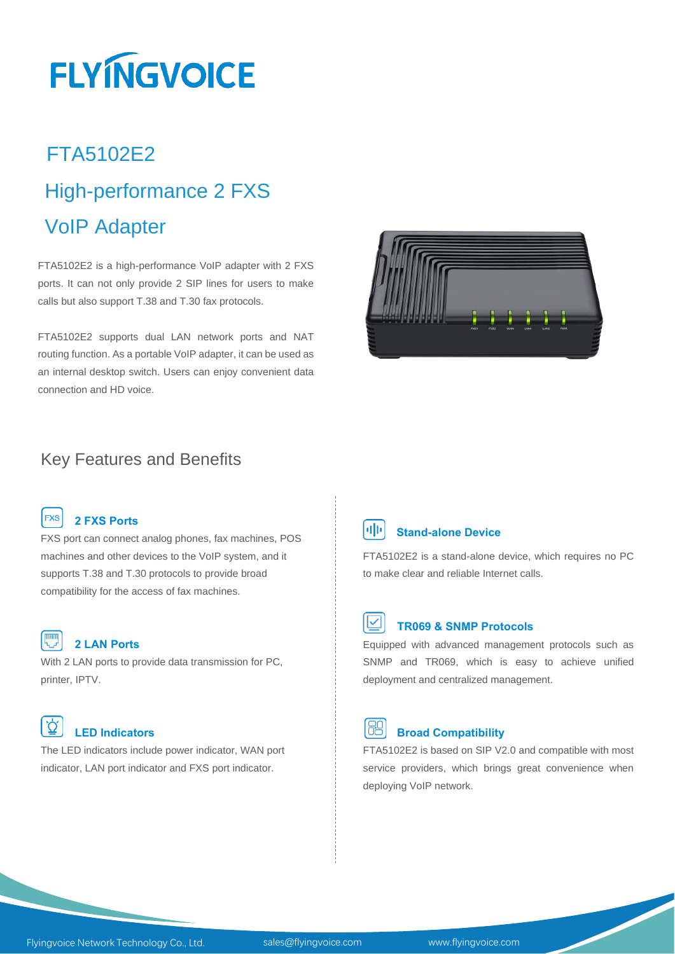# **FLYINGVOICE**

## FTA5102E2 High-performance 2 FXS VoIP Adapter

FTA5102E2 is a high-performance VoIP adapter with 2 FXS ports. It can not only provide 2 SIP lines for users to make calls but also support T.38 and T.30 fax protocols.

FTA5102E2 supports dual LAN network ports and NAT routing function. As a portable VoIP adapter, it can be used as an internal desktop switch. Users can enjoy convenient data connection and HD voice.



### Key Features and Benefits



#### **2 FXS Ports**

FXS port can connect analog phones, fax machines, POS machines and other devices to the VoIP system, and it supports T.38 and T.30 protocols to provide broad compatibility for the access of fax machines.

| . |  |
|---|--|
|   |  |

#### **2 LAN Ports**

With 2 LAN ports to provide data transmission for PC, printer, IPTV.

#### $\Omega'$ **LED Indicators**

The LED indicators include power indicator, WAN port indicator, LAN port indicator and FXS port indicator.



#### *I***III** Stand-alone Device

FTA5102E2 is a stand-alone device, which requires no PC to make clear and reliable Internet calls.

### **TR069 & SNMP Protocols**

Equipped with advanced management protocols such as SNMP and TR069, which is easy to achieve unified deployment and centralized management.



#### **Broad Compatibility**

FTA5102E2 is based on SIP V2.0 and compatible with most service providers, which brings great convenience when deploying VoIP network.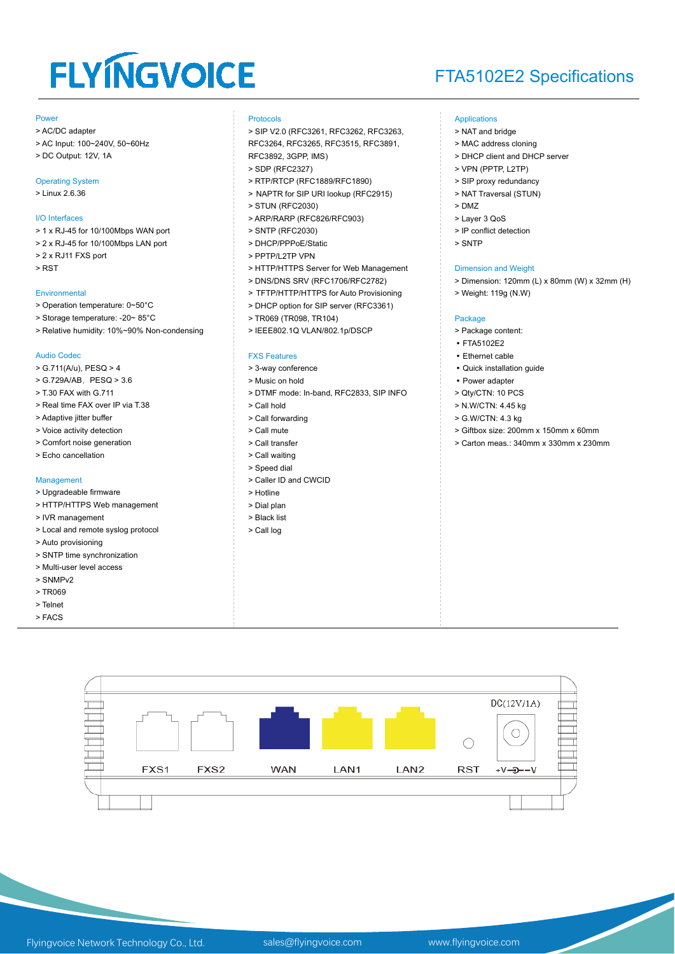## **FLYINGVOICE**

## FTA5102E2 Specifications

#### Ī Power

- > AC/DC adapter
- > AC Input: 100~240V, 50~60Hz
- > DC Output: 12V, 1A

#### Operating System

> Linux 2.6.36

#### I/O Interfaces

- > 1 x RJ-45 for 10/100Mbps WAN port
- > 2 x RJ-45 for 10/100Mbps LAN port
- > 2 x RJ11 FXS port
- > RST

#### **Environmental**

- > Operation temperature: 0~50°C
- > Storage temperature: -20~ 85°C
- > Relative humidity: 10%~90% Non-condensing

#### Audio Codec

- > G.711(A/u), PESQ > 4
- > G.729A/AB, PESQ > 3.6
- > T.30 FAX with G.711
- > Real time FAX over IP via T.38
- > Adaptive jitter buffer
- > Voice activity detection
- > Comfort noise generation
- > Echo cancellation

#### Management

- > Upgradeable firmware
- > HTTP/HTTPS Web management
- > IVR management
- > Local and remote syslog protocol
- > Auto provisioning
- > SNTP time synchronization > Multi-user level access
- 
- > SNMPv2
- > TR069 > Telnet
- > FACS
- 

#### Protocols

> SIP V2.0 (RFC3261, RFC3262, RFC3263, RFC3264, RFC3265, RFC3515, RFC3891,

- RFC3892, 3GPP, IMS) > SDP (RFC2327)
- > RTP/RTCP (RFC1889/RFC1890)
- > NAPTR for SIP URI lookup (RFC2915)
- > STUN (RFC2030)
- > ARP/RARP (RFC826/RFC903)
- > SNTP (RFC2030)
- > DHCP/PPPoE/Static
- > PPTP/L2TP VPN
- > HTTP/HTTPS Server for Web Management
- > DNS/DNS SRV (RFC1706/RFC2782)
- > TFTP/HTTP/HTTPS for Auto Provisioning
- > DHCP option for SIP server (RFC3361)
- > TR069 (TR098, TR104)
- > IEEE802.1Q VLAN/802.1p/DSCP

#### FXS Features

- > 3-way conference
- > Music on hold
- > DTMF mode: In-band, RFC2833, SIP INFO
- > Call hold
- > Call forwarding
- > Call mute
- > Call transfer
- > Call waiting
- > Speed dial
- > Caller ID and CWCID
- > Hotline
- > Dial plan
- > Black list
- > Call log

#### Applications

- > NAT and bridge
	- > MAC address cloning
	- > DHCP client and DHCP server
- > VPN (PPTP, L2TP)
- > SIP proxy redundancy
- > NAT Traversal (STUN)
- > DMZ
- > Layer 3 QoS
- > IP conflict detection
- > SNTP

#### Dimension and Weight

- > Dimension: 120mm (L) x 80mm (W) x 32mm (H)
- > Weight: 119g (N.W)

#### Package

- > Package content:
- FTA5102E2
- Ethernet cable
- Quick installation guide
- Power adapter
- > Qty/CTN: 10 PCS
- > N.W/CTN: 4.45 kg
- > G.W/CTN: 4.3 kg
- > Giftbox size: 200mm x 150mm x 60mm
- > Carton meas.: 340mm x 330mm x 230mm